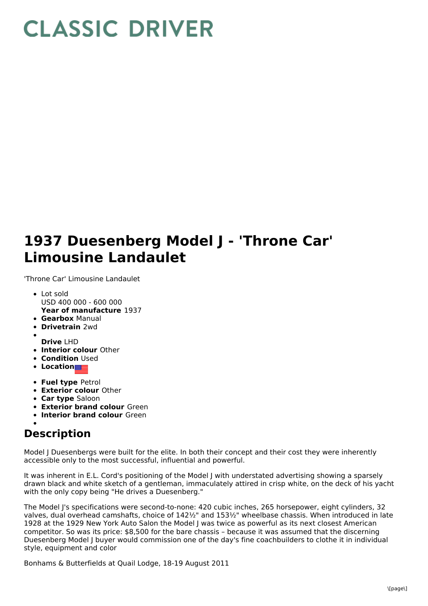## **CLASSIC DRIVER**

## **1937 Duesenberg Model J - 'Throne Car' Limousine Landaulet**

'Throne Car' Limousine Landaulet

- **Year of manufacture** 1937 • Lot sold USD 400 000 - 600 000
- **Gearbox** Manual
- 
- **Drivetrain** 2wd
- 
- **Drive** LHD
- **Interior colour** Other
- **Condition** Used
- **Location**
- **Fuel type** Petrol
- **Exterior colour** Other
- **Car type** Saloon
- **Exterior brand colour** Green
- **Interior brand colour** Green

## **Description**

Model J Duesenbergs were built for the elite. In both their concept and their cost they were inherently accessible only to the most successful, influential and powerful.

It was inherent in E.L. Cord's positioning of the Model J with understated advertising showing a sparsely drawn black and white sketch of a gentleman, immaculately attired in crisp white, on the deck of his yacht with the only copy being "He drives a Duesenberg."

The Model J's specifications were second-to-none: 420 cubic inches, 265 horsepower, eight cylinders, 32 valves, dual overhead camshafts, choice of 142½" and 153½" wheelbase chassis. When introduced in late 1928 at the 1929 New York Auto Salon the Model J was twice as powerful as its next closest American competitor. So was its price: \$8,500 for the bare chassis – because it was assumed that the discerning Duesenberg Model J buyer would commission one of the day's fine coachbuilders to clothe it in individual style, equipment and color

Bonhams & Butterfields at Quail Lodge, 18-19 August 2011